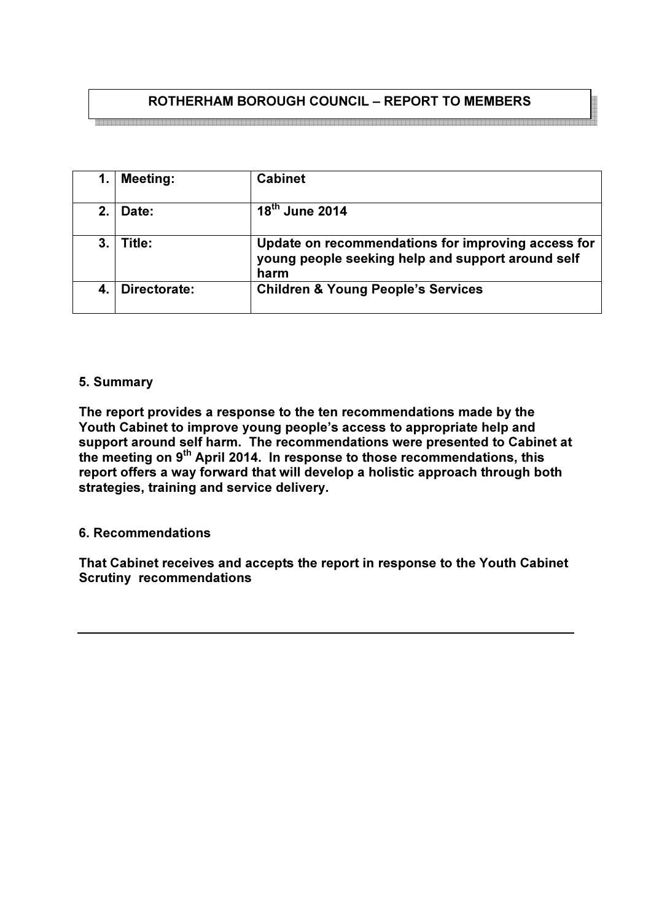# ROTHERHAM BOROUGH COUNCIL – REPORT TO MEMBERS

|    | <b>Meeting:</b> | <b>Cabinet</b>                                                                                                  |
|----|-----------------|-----------------------------------------------------------------------------------------------------------------|
| 2. | Date:           | $18th$ June 2014                                                                                                |
| 3. | Title:          | Update on recommendations for improving access for<br>young people seeking help and support around self<br>harm |
|    | Directorate:    | <b>Children &amp; Young People's Services</b>                                                                   |

#### 5. Summary

The report provides a response to the ten recommendations made by the Youth Cabinet to improve young people's access to appropriate help and support around self harm. The recommendations were presented to Cabinet at the meeting on 9<sup>th</sup> April 2014. In response to those recommendations, this report offers a way forward that will develop a holistic approach through both strategies, training and service delivery.

6. Recommendations

That Cabinet receives and accepts the report in response to the Youth Cabinet Scrutiny recommendations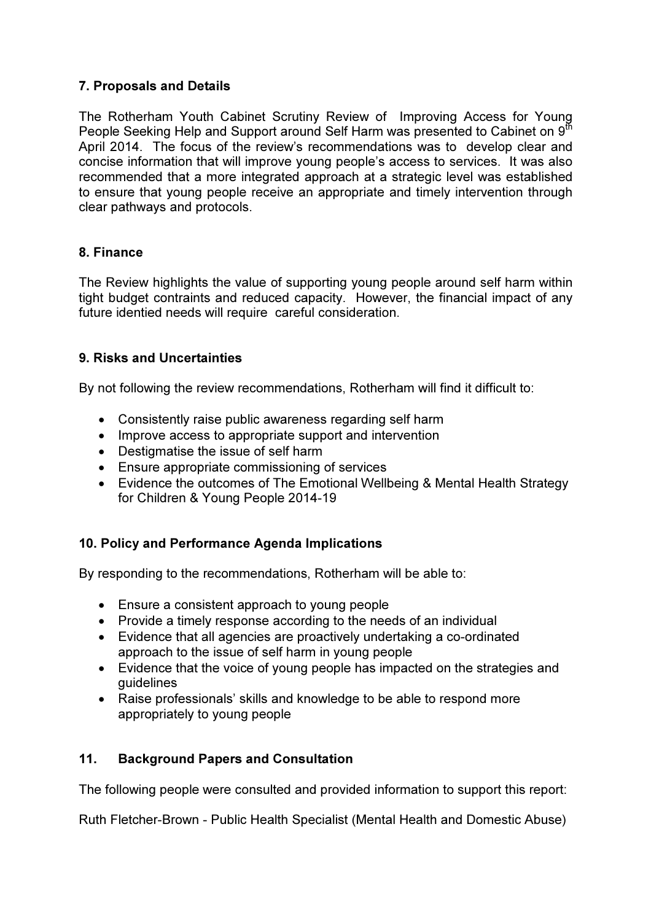## 7. Proposals and Details

The Rotherham Youth Cabinet Scrutiny Review of Improving Access for Young People Seeking Help and Support around Self Harm was presented to Cabinet on 9<sup>th</sup> April 2014. The focus of the review's recommendations was to develop clear and concise information that will improve young people's access to services. It was also recommended that a more integrated approach at a strategic level was established to ensure that young people receive an appropriate and timely intervention through clear pathways and protocols.

#### 8. Finance

The Review highlights the value of supporting young people around self harm within tight budget contraints and reduced capacity. However, the financial impact of any future identied needs will require careful consideration.

### 9. Risks and Uncertainties

By not following the review recommendations, Rotherham will find it difficult to:

- Consistently raise public awareness regarding self harm
- Improve access to appropriate support and intervention
- Destigmatise the issue of self harm
- Ensure appropriate commissioning of services
- Evidence the outcomes of The Emotional Wellbeing & Mental Health Strategy for Children & Young People 2014-19

## 10. Policy and Performance Agenda Implications

By responding to the recommendations, Rotherham will be able to:

- Ensure a consistent approach to young people
- Provide a timely response according to the needs of an individual
- Evidence that all agencies are proactively undertaking a co-ordinated approach to the issue of self harm in young people
- Evidence that the voice of young people has impacted on the strategies and guidelines
- Raise professionals' skills and knowledge to be able to respond more appropriately to young people

## 11. Background Papers and Consultation

The following people were consulted and provided information to support this report:

Ruth Fletcher-Brown - Public Health Specialist (Mental Health and Domestic Abuse)